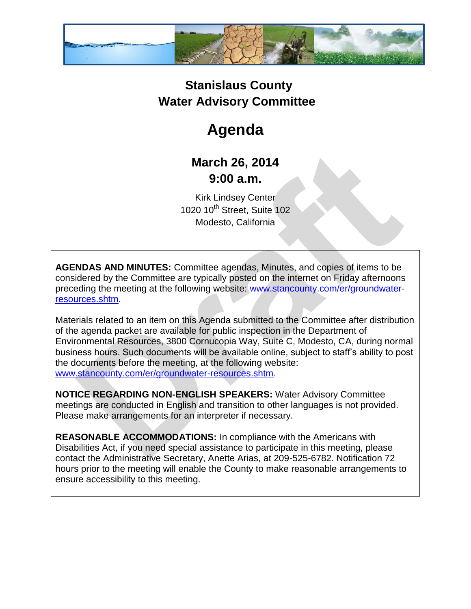

## **Stanislaus County Water Advisory Committee**

# **Agenda**

### **March 26, 2014 9:00 a.m.**

Kirk Lindsey Center 1020 10<sup>th</sup> Street, Suite 102 Modesto, California

**AGENDAS AND MINUTES:** Committee agendas, Minutes, and copies of items to be considered by the Committee are typically posted on the internet on Friday afternoons preceding the meeting at the following website: [www.stancounty.com/er/groundwater](http://www.stancounty.com/er/groundwater-resources.shtm)[resources.shtm.](http://www.stancounty.com/er/groundwater-resources.shtm)

Materials related to an item on this Agenda submitted to the Committee after distribution of the agenda packet are available for public inspection in the Department of Environmental Resources, 3800 Cornucopia Way, Suite C, Modesto, CA, during normal business hours. Such documents will be available online, subject to staff's ability to post the documents before the meeting, at the following website: [www.stancounty.com/er/groundwater-resources.shtm.](http://www.stancounty.com/er/groundwater-resources.shtm)

**NOTICE REGARDING NON-ENGLISH SPEAKERS:** Water Advisory Committee meetings are conducted in English and transition to other languages is not provided. Please make arrangements for an interpreter if necessary.

**REASONABLE ACCOMMODATIONS:** In compliance with the Americans with Disabilities Act, if you need special assistance to participate in this meeting, please contact the Administrative Secretary, Anette Arias, at 209-525-6782. Notification 72 hours prior to the meeting will enable the County to make reasonable arrangements to ensure accessibility to this meeting.